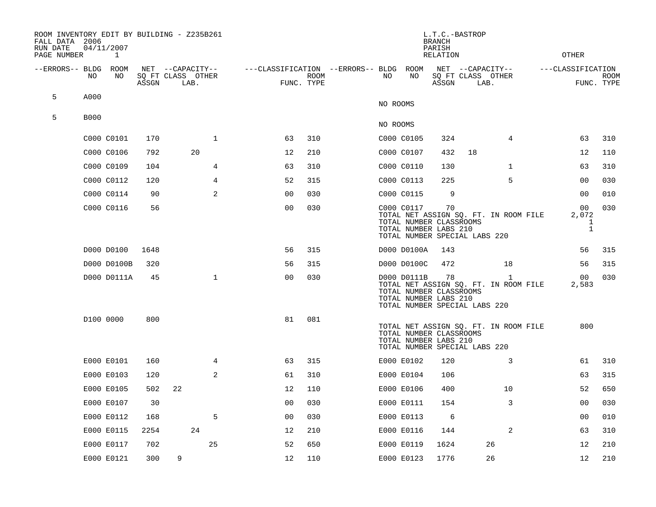| FALL DATA 2006<br>RUN DATE<br>PAGE NUMBER |             | 04/11/2007<br>1 |       | ROOM INVENTORY EDIT BY BUILDING - Z235B261    |                                        | L.T.C.-BASTROP<br><b>BRANCH</b><br>PARISH<br><b>RELATION</b> |  |          |             |                                                                                         | <b>OTHER</b>                                  |                                                       |  |                                       |                           |
|-------------------------------------------|-------------|-----------------|-------|-----------------------------------------------|----------------------------------------|--------------------------------------------------------------|--|----------|-------------|-----------------------------------------------------------------------------------------|-----------------------------------------------|-------------------------------------------------------|--|---------------------------------------|---------------------------|
| --ERRORS-- BLDG                           | NO.         | ROOM<br>NO      | ASSGN | NET --CAPACITY--<br>SQ FT CLASS OTHER<br>LAB. | ---CLASSIFICATION --ERRORS-- BLDG ROOM | ROOM<br>FUNC. TYPE                                           |  | NO       | NO          | ASSGN                                                                                   | NET --CAPACITY--<br>SQ FT CLASS OTHER<br>LAB. |                                                       |  | ---CLASSIFICATION                     | <b>ROOM</b><br>FUNC. TYPE |
| 5                                         | A000        |                 |       |                                               |                                        |                                                              |  | NO ROOMS |             |                                                                                         |                                               |                                                       |  |                                       |                           |
| 5                                         | <b>B000</b> |                 |       |                                               |                                        |                                                              |  |          |             |                                                                                         |                                               |                                                       |  |                                       |                           |
|                                           |             |                 |       |                                               |                                        |                                                              |  | NO ROOMS |             |                                                                                         |                                               |                                                       |  |                                       |                           |
|                                           |             | C000 C0101      | 170   | $\mathbf 1$                                   | 63                                     | 310                                                          |  |          | C000 C0105  | 324                                                                                     |                                               | 4                                                     |  | 63                                    | 310                       |
|                                           |             | C000 C0106      | 792   | 20                                            | 12                                     | 210                                                          |  |          | C000 C0107  | 432                                                                                     | 18                                            |                                                       |  | 12                                    | 110                       |
|                                           |             | C000 C0109      | 104   | 4                                             | 63                                     | 310                                                          |  |          | C000 C0110  | 130                                                                                     |                                               | $\mathbf{1}$                                          |  | 63                                    | 310                       |
|                                           |             | C000 C0112      | 120   | $\overline{4}$                                | 52                                     | 315                                                          |  |          | C000 C0113  | 225                                                                                     |                                               | 5                                                     |  | 00                                    | 030                       |
|                                           |             | C000 C0114      | 90    | 2                                             | 00                                     | 030                                                          |  |          | C000 C0115  | 9                                                                                       |                                               |                                                       |  | 00                                    | 010                       |
|                                           |             | C000 C0116      | 56    |                                               | 00                                     | 030                                                          |  |          | C000 C0117  | 70<br>TOTAL NUMBER CLASSROOMS<br>TOTAL NUMBER LABS 210<br>TOTAL NUMBER SPECIAL LABS 220 |                                               | TOTAL NET ASSIGN SQ. FT. IN ROOM FILE                 |  | 00<br>2,072<br>$\mathbf 1$<br>$\,1\,$ | 030                       |
|                                           |             | D000 D0100      | 1648  |                                               | 56                                     | 315                                                          |  |          | D000 D0100A | 143                                                                                     |                                               |                                                       |  | 56                                    | 315                       |
|                                           |             | D000 D0100B     | 320   |                                               | 56                                     | 315                                                          |  |          | D000 D0100C | 472                                                                                     |                                               | 18                                                    |  | 56                                    | 315                       |
|                                           |             | D000 D0111A     | 45    | $\mathbf{1}$                                  | 0 <sub>0</sub>                         | 030                                                          |  |          | D000 D0111B | 78<br>TOTAL NUMBER CLASSROOMS<br>TOTAL NUMBER LABS 210<br>TOTAL NUMBER SPECIAL LABS 220 |                                               | $\mathbf{1}$<br>TOTAL NET ASSIGN SQ. FT. IN ROOM FILE |  | 00<br>2,583                           | 030                       |
|                                           |             | D100 0000       | 800   |                                               | 81                                     | 081                                                          |  |          |             | TOTAL NUMBER CLASSROOMS<br>TOTAL NUMBER LABS 210<br>TOTAL NUMBER SPECIAL LABS 220       |                                               | TOTAL NET ASSIGN SQ. FT. IN ROOM FILE                 |  | 800                                   |                           |
|                                           |             | E000 E0101      | 160   | $\overline{4}$                                | 63                                     | 315                                                          |  |          | E000 E0102  | 120                                                                                     |                                               | 3                                                     |  | 61                                    | 310                       |
|                                           |             | E000 E0103      | 120   | 2                                             | 61                                     | 310                                                          |  |          | E000 E0104  | 106                                                                                     |                                               |                                                       |  | 63                                    | 315                       |
|                                           |             | E000 E0105      | 502   | 22                                            | 12                                     | 110                                                          |  |          | E000 E0106  | 400                                                                                     |                                               | 10                                                    |  | 52                                    | 650                       |
|                                           |             | E000 E0107      | 30    |                                               | 0 <sub>0</sub>                         | 030                                                          |  |          | E000 E0111  | 154                                                                                     |                                               | 3                                                     |  | 0 <sub>0</sub>                        | 030                       |
|                                           |             | E000 E0112      | 168   | 5                                             | 00                                     | 030                                                          |  |          | E000 E0113  | 6                                                                                       |                                               |                                                       |  | 0 <sub>0</sub>                        | $010\,$                   |
|                                           |             | E000 E0115      | 2254  | 24                                            | 12                                     | 210                                                          |  |          | E000 E0116  | 144                                                                                     |                                               | $\overline{a}$                                        |  | 63                                    | 310                       |
|                                           |             | E000 E0117      | 702   | $25\,$                                        | 52                                     | 650                                                          |  |          | E000 E0119  | 1624                                                                                    |                                               | 26                                                    |  | 12                                    | 210                       |
|                                           |             | E000 E0121      | 300   | 9                                             | 12                                     | 110                                                          |  |          | E000 E0123  | 1776                                                                                    |                                               | 26                                                    |  | 12                                    | 210                       |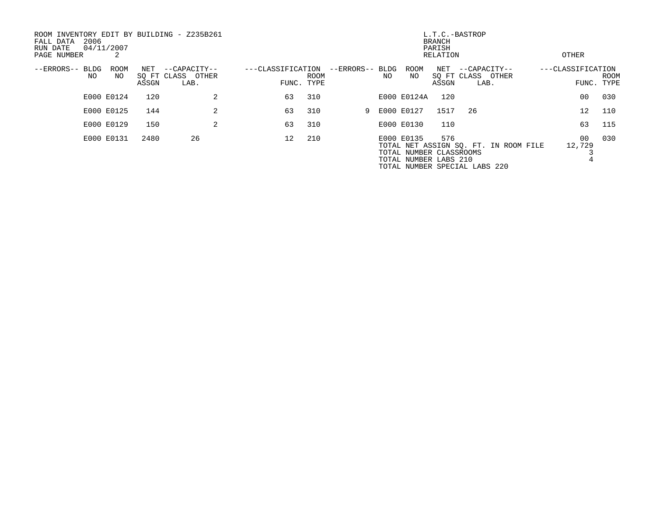| ROOM INVENTORY EDIT BY BUILDING - Z235B261<br>2006<br>FALL DATA<br>RUN DATE<br>PAGE NUMBER | 04/11/2007<br>2 |              |                                           |                                 | L.T.C.-BASTROP<br>BRANCH<br>PARISH<br>RELATION |                 |    |                                                                |              |                                           | OTHER                                 |                   |                           |
|--------------------------------------------------------------------------------------------|-----------------|--------------|-------------------------------------------|---------------------------------|------------------------------------------------|-----------------|----|----------------------------------------------------------------|--------------|-------------------------------------------|---------------------------------------|-------------------|---------------------------|
| --ERRORS-- BLDG<br>NO                                                                      | ROOM<br>NO.     | NET<br>ASSGN | --CAPACITY--<br>SQ FT CLASS OTHER<br>LAB. | ---CLASSIFICATION<br>FUNC. TYPE | <b>ROOM</b>                                    | --ERRORS-- BLDG | NO | ROOM<br>NO                                                     | NET<br>ASSGN | --CAPACITY--<br>SQ FT CLASS OTHER<br>LAB. |                                       | ---CLASSIFICATION | <b>ROOM</b><br>FUNC. TYPE |
|                                                                                            | E000 E0124      | 120          | 2                                         | 63                              | 310                                            |                 |    | E000 E0124A                                                    | 120          |                                           |                                       | 0 <sub>0</sub>    | 030                       |
|                                                                                            | E000 E0125      | 144          | 2                                         | 63                              | 310                                            |                 |    | 9 E000 E0127                                                   | 1517         | -26                                       |                                       | 12                | 110                       |
|                                                                                            | E000 E0129      | 150          | 2                                         | 63                              | 310                                            |                 |    | E000 E0130                                                     | 110          |                                           |                                       | 63                | 115                       |
|                                                                                            | E000 E0131      | 2480         | 26                                        | $12^{\circ}$                    | 210                                            |                 |    | E000 E0135<br>TOTAL NUMBER CLASSROOMS<br>TOTAL NUMBER LABS 210 | 576          | TOTAL NUMBER SPECIAL LABS 220             | TOTAL NET ASSIGN SO. FT. IN ROOM FILE | 00<br>12,729      | 030                       |